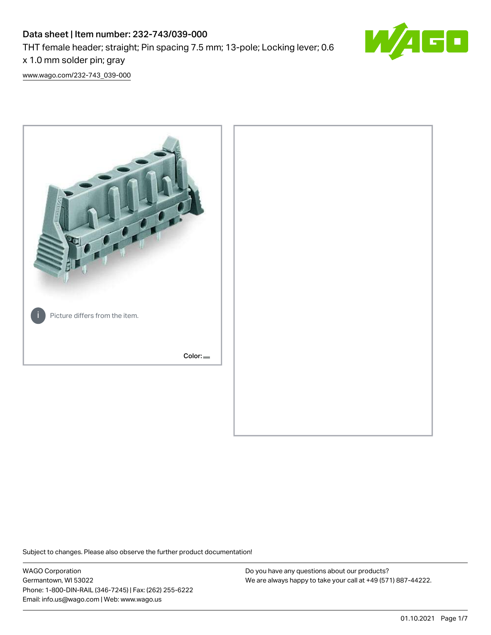# Data sheet | Item number: 232-743/039-000 THT female header; straight; Pin spacing 7.5 mm; 13-pole; Locking lever; 0.6 x 1.0 mm solder pin; gray



[www.wago.com/232-743\\_039-000](http://www.wago.com/232-743_039-000)



Subject to changes. Please also observe the further product documentation!

WAGO Corporation Germantown, WI 53022 Phone: 1-800-DIN-RAIL (346-7245) | Fax: (262) 255-6222 Email: info.us@wago.com | Web: www.wago.us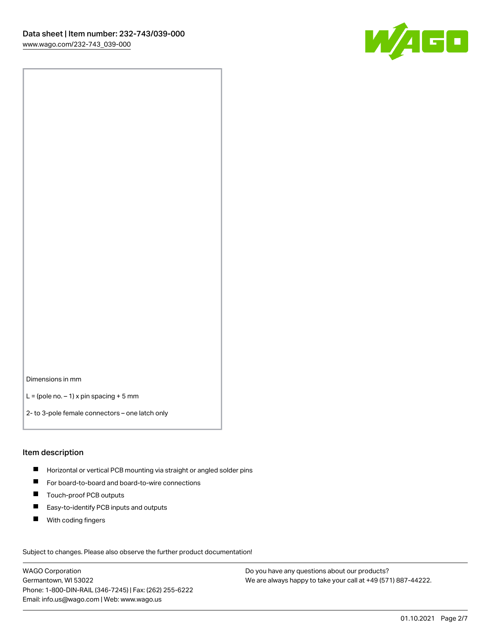

Dimensions in mm

 $L =$  (pole no.  $-1$ ) x pin spacing + 5 mm

2- to 3-pole female connectors – one latch only

#### Item description

- **H** Horizontal or vertical PCB mounting via straight or angled solder pins
- For board-to-board and board-to-wire connections
- Touch-proof PCB outputs  $\blacksquare$
- $\blacksquare$ Easy-to-identify PCB inputs and outputs
- $\blacksquare$ With coding fingers

Subject to changes. Please also observe the further product documentation! Data

WAGO Corporation Germantown, WI 53022 Phone: 1-800-DIN-RAIL (346-7245) | Fax: (262) 255-6222 Email: info.us@wago.com | Web: www.wago.us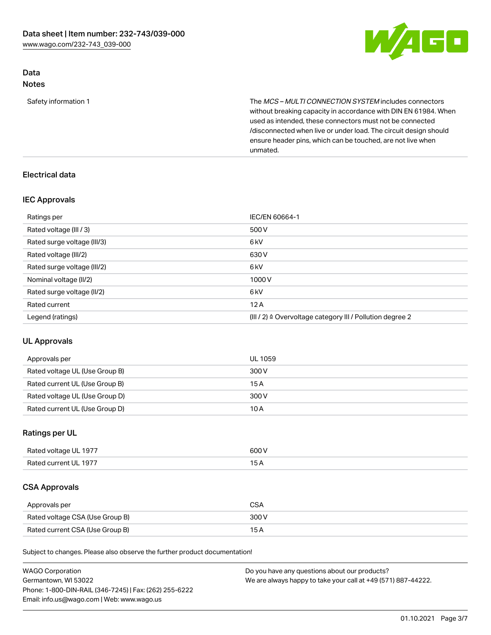

#### Data Notes

Safety information 1 The MCS – MULTI CONNECTION SYSTEM includes connectors without breaking capacity in accordance with DIN EN 61984. When used as intended, these connectors must not be connected /disconnected when live or under load. The circuit design should ensure header pins, which can be touched, are not live when unmated.

# Electrical data

#### IEC Approvals

| Ratings per                 | IEC/EN 60664-1                                                        |
|-----------------------------|-----------------------------------------------------------------------|
| Rated voltage (III / 3)     | 500 V                                                                 |
| Rated surge voltage (III/3) | 6 <sub>k</sub> V                                                      |
| Rated voltage (III/2)       | 630 V                                                                 |
| Rated surge voltage (III/2) | 6 kV                                                                  |
| Nominal voltage (II/2)      | 1000V                                                                 |
| Rated surge voltage (II/2)  | 6 kV                                                                  |
| Rated current               | 12A                                                                   |
| Legend (ratings)            | $(III / 2)$ $\triangle$ Overvoltage category III / Pollution degree 2 |

## UL Approvals

| Approvals per                  | UL 1059 |
|--------------------------------|---------|
| Rated voltage UL (Use Group B) | 300 V   |
| Rated current UL (Use Group B) | 15 A    |
| Rated voltage UL (Use Group D) | 300 V   |
| Rated current UL (Use Group D) | 10A     |

## Ratings per UL

| Rated voltage UL 1977 | 600 V                    |
|-----------------------|--------------------------|
| Rated current UL 1977 | $\overline{\phantom{0}}$ |

# CSA Approvals

| Approvals per                   | CSA   |
|---------------------------------|-------|
| Rated voltage CSA (Use Group B) | 300 V |
| Rated current CSA (Use Group B) | 15 A  |

Subject to changes. Please also observe the further product documentation!

| <b>WAGO Corporation</b>                                | Do you have any questions about our products?                 |
|--------------------------------------------------------|---------------------------------------------------------------|
| Germantown, WI 53022                                   | We are always happy to take your call at +49 (571) 887-44222. |
| Phone: 1-800-DIN-RAIL (346-7245)   Fax: (262) 255-6222 |                                                               |
| Email: info.us@wago.com   Web: www.wago.us             |                                                               |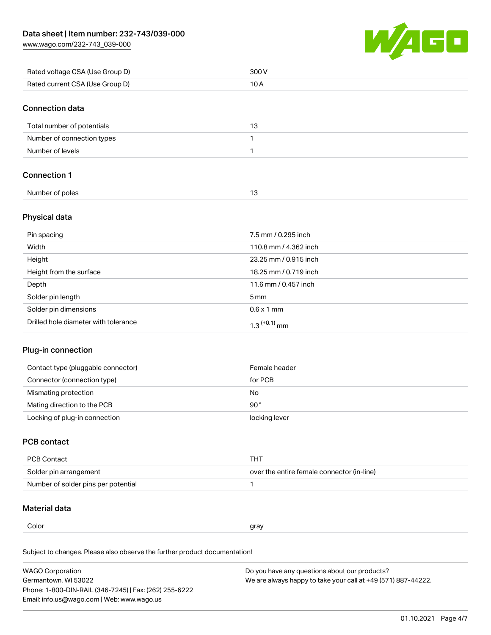[www.wago.com/232-743\\_039-000](http://www.wago.com/232-743_039-000)



| Rated voltage CSA (Use Group D) | 300V                  |
|---------------------------------|-----------------------|
| Rated current CSA (Use Group D) | 10A                   |
|                                 |                       |
| <b>Connection data</b>          |                       |
| Total number of potentials      | 13                    |
| Number of connection types      | 1                     |
| Number of levels                | 1                     |
| <b>Connection 1</b>             |                       |
| Number of poles                 | 13                    |
| Physical data                   |                       |
| Pin spacing                     | 7.5 mm / 0.295 inch   |
| Width                           | 110.8 mm / 4.362 inch |
| Height                          | 23.25 mm / 0.915 inch |
| Height from the surface         | 18.25 mm / 0.719 inch |
| Depth                           | 11.6 mm / 0.457 inch  |
| Solder pin length               | 5 <sub>mm</sub>       |

| Solder pin dimensions                | 0.6 x 1 mm |
|--------------------------------------|------------|
| Drilled hole diameter with tolerance | mm         |

#### Plug-in connection

| Contact type (pluggable connector) | Female header |
|------------------------------------|---------------|
| Connector (connection type)        | for PCB       |
| Mismating protection               | No            |
| Mating direction to the PCB        | $90^{\circ}$  |
| Locking of plug-in connection      | locking lever |

## PCB contact

| PCB Contact                         | тнт                                        |
|-------------------------------------|--------------------------------------------|
| Solder pin arrangement              | over the entire female connector (in-line) |
| Number of solder pins per potential |                                            |

# Material data

L,

| Color | gray |
|-------|------|
|       |      |

Subject to changes. Please also observe the further product documentation! Material group I

| <b>WAGO Corporation</b>                                | Do you have any questions about our products?                 |
|--------------------------------------------------------|---------------------------------------------------------------|
| Germantown, WI 53022                                   | We are always happy to take your call at +49 (571) 887-44222. |
| Phone: 1-800-DIN-RAIL (346-7245)   Fax: (262) 255-6222 |                                                               |
| Email: info.us@wago.com   Web: www.wago.us             |                                                               |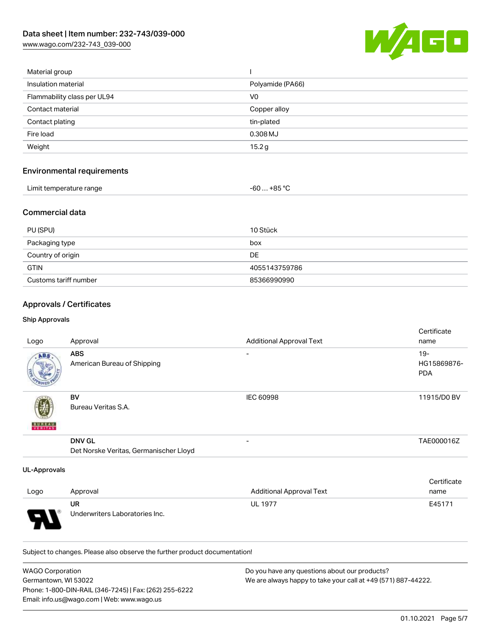[www.wago.com/232-743\\_039-000](http://www.wago.com/232-743_039-000)



| Material group                    |                  |
|-----------------------------------|------------------|
| Insulation material               | Polyamide (PA66) |
| Flammability class per UL94       | V <sub>0</sub>   |
| Contact material                  | Copper alloy     |
| Contact plating                   | tin-plated       |
| Fire load                         | 0.308 MJ         |
| Weight                            | 15.2g            |
| <b>Environmental requirements</b> |                  |
| Limit temperature range           | $-60+85 °C$      |
| <b>Commercial data</b>            |                  |

| PU (SPU)              | 10 Stück      |
|-----------------------|---------------|
| Packaging type        | box           |
| Country of origin     | DE            |
| <b>GTIN</b>           | 4055143759786 |
| Customs tariff number | 85366990990   |

# Approvals / Certificates

#### Ship Approvals

71

|                          |                                        |                                 | Certificate |
|--------------------------|----------------------------------------|---------------------------------|-------------|
| Logo                     | Approval                               | <b>Additional Approval Text</b> | name        |
| ABS.                     | <b>ABS</b>                             | $\overline{\phantom{a}}$        | $19 -$      |
|                          | American Bureau of Shipping            |                                 | HG15869876- |
|                          |                                        |                                 | <b>PDA</b>  |
|                          | BV                                     | IEC 60998                       | 11915/D0 BV |
| <b>BUREAU</b><br>VERITAS | Bureau Veritas S.A.                    |                                 |             |
|                          | <b>DNV GL</b>                          |                                 | TAE000016Z  |
|                          | Det Norske Veritas, Germanischer Lloyd |                                 |             |
| <b>UL-Approvals</b>      |                                        |                                 |             |
|                          |                                        |                                 | Certificate |
| Logo                     | Approval                               | <b>Additional Approval Text</b> | name        |
|                          | UR                                     | <b>UL 1977</b>                  | E45171      |

Subject to changes. Please also observe the further product documentation!

Underwriters Laboratories Inc.

| <b>WAGO Corporation</b>                                | Do you have any questions about our products?                 |
|--------------------------------------------------------|---------------------------------------------------------------|
| Germantown, WI 53022                                   | We are always happy to take your call at +49 (571) 887-44222. |
| Phone: 1-800-DIN-RAIL (346-7245)   Fax: (262) 255-6222 |                                                               |
| Email: info.us@wago.com   Web: www.wago.us             |                                                               |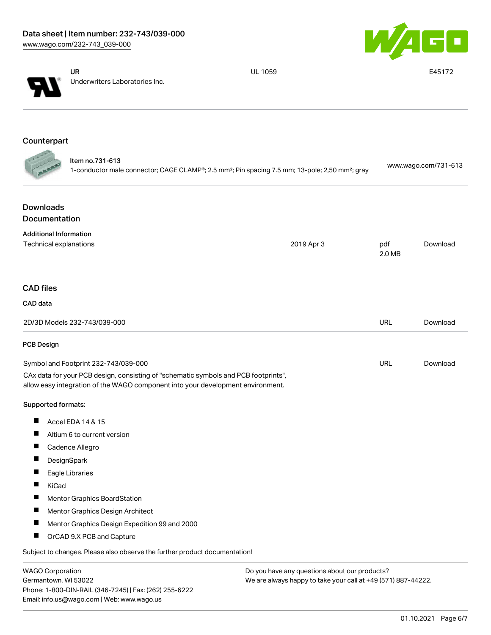



UR Underwriters Laboratories Inc. UL 1059 E45172

## **Counterpart**

| ltem no.731-613                                                                                                         | www.wago.com/731-613 |
|-------------------------------------------------------------------------------------------------------------------------|----------------------|
| 1-conductor male connector; CAGE CLAMP®; 2.5 mm <sup>2</sup> ; Pin spacing 7.5 mm; 13-pole; 2,50 mm <sup>2</sup> ; gray |                      |

# Downloads Documentation

| <b>Additional Information</b>                                                                                                                                          |            |               |          |
|------------------------------------------------------------------------------------------------------------------------------------------------------------------------|------------|---------------|----------|
| <b>Technical explanations</b>                                                                                                                                          | 2019 Apr 3 | pdf<br>2.0 MB | Download |
|                                                                                                                                                                        |            |               |          |
| <b>CAD files</b>                                                                                                                                                       |            |               |          |
| CAD data                                                                                                                                                               |            |               |          |
| 2D/3D Models 232-743/039-000                                                                                                                                           |            | <b>URL</b>    | Download |
| PCB Design                                                                                                                                                             |            |               |          |
| Symbol and Footprint 232-743/039-000                                                                                                                                   |            | URL           | Download |
| CAx data for your PCB design, consisting of "schematic symbols and PCB footprints",<br>allow easy integration of the WAGO component into your development environment. |            |               |          |
| Supported formats:                                                                                                                                                     |            |               |          |
| П<br>Accel EDA 14 & 15                                                                                                                                                 |            |               |          |
| Altium 6 to current version                                                                                                                                            |            |               |          |
| Cadence Allegro                                                                                                                                                        |            |               |          |
| DesignSpark                                                                                                                                                            |            |               |          |
| Eagle Libraries<br>ш                                                                                                                                                   |            |               |          |
| ш<br>KiCad                                                                                                                                                             |            |               |          |
| <b>Mentor Graphics BoardStation</b>                                                                                                                                    |            |               |          |
| H<br>Mentor Graphics Design Architect                                                                                                                                  |            |               |          |
| Mentor Graphics Design Expedition 99 and 2000                                                                                                                          |            |               |          |
| Ш<br>OrCAD 9.X PCB and Capture                                                                                                                                         |            |               |          |
| Subject to changes. Please also observe the further product documentation!                                                                                             |            |               |          |
|                                                                                                                                                                        |            |               |          |

| <b>WAGO Corporation</b>                                |
|--------------------------------------------------------|
| Germantown, WI 53022                                   |
| Phone: 1-800-DIN-RAIL (346-7245)   Fax: (262) 255-6222 |
| Email: info.us@wago.com   Web: www.wago.us             |